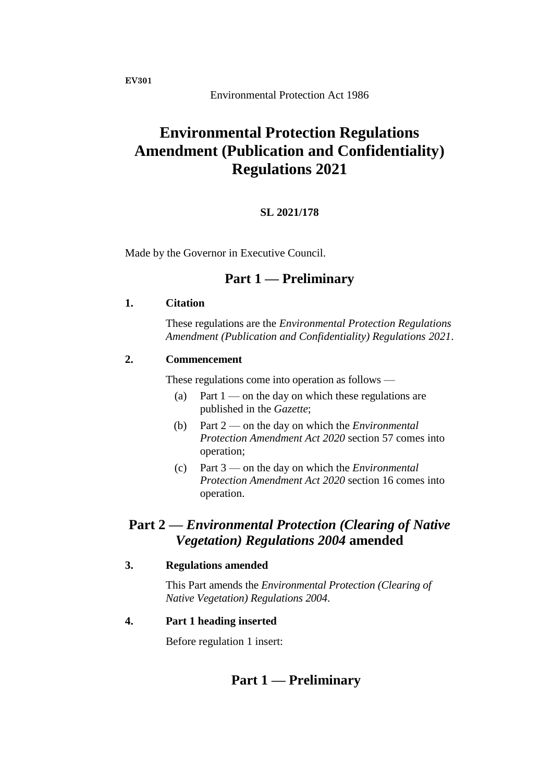Environmental Protection Act 1986

# **Environmental Protection Regulations Amendment (Publication and Confidentiality) Regulations 2021**

### **SL 2021/178**

Made by the Governor in Executive Council.

## **Part 1 — Preliminary**

#### **1. Citation**

These regulations are the *Environmental Protection Regulations Amendment (Publication and Confidentiality) Regulations 2021*.

### **2. Commencement**

These regulations come into operation as follows —

- (a) Part  $1$  on the day on which these regulations are published in the *Gazette*;
- (b) Part 2 on the day on which the *Environmental Protection Amendment Act 2020* section 57 comes into operation;
- (c) Part 3 on the day on which the *Environmental Protection Amendment Act 2020* section 16 comes into operation.

## **Part 2 —** *Environmental Protection (Clearing of Native Vegetation) Regulations 2004* **amended**

### **3. Regulations amended**

This Part amends the *Environmental Protection (Clearing of Native Vegetation) Regulations 2004*.

#### **4. Part 1 heading inserted**

Before regulation 1 insert:

## **Part 1 — Preliminary**

**EV301**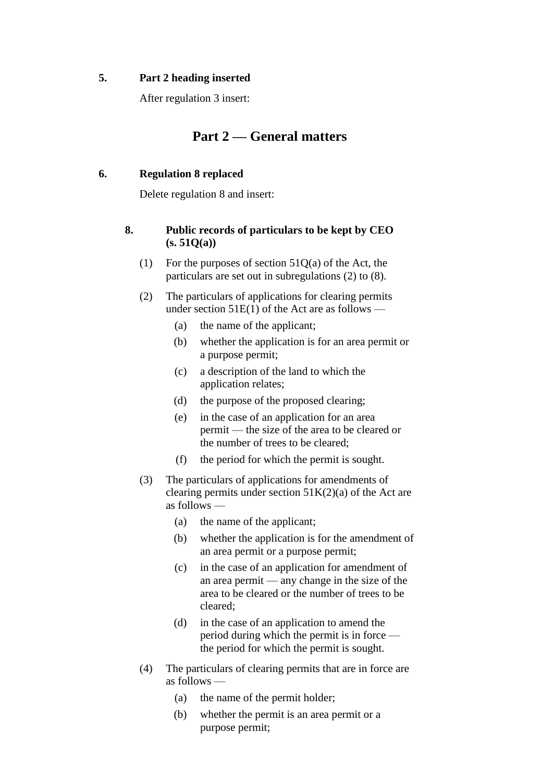#### **5. Part 2 heading inserted**

After regulation 3 insert:

## **Part 2 — General matters**

### **6. Regulation 8 replaced**

Delete regulation 8 and insert:

### **8. Public records of particulars to be kept by CEO (s. 51Q(a))**

- (1) For the purposes of section  $51Q(a)$  of the Act, the particulars are set out in subregulations (2) to (8).
- (2) The particulars of applications for clearing permits under section  $51E(1)$  of the Act are as follows —
	- (a) the name of the applicant;
	- (b) whether the application is for an area permit or a purpose permit;
	- (c) a description of the land to which the application relates;
	- (d) the purpose of the proposed clearing;
	- (e) in the case of an application for an area permit — the size of the area to be cleared or the number of trees to be cleared;
	- (f) the period for which the permit is sought.
- (3) The particulars of applications for amendments of clearing permits under section  $51K(2)(a)$  of the Act are as follows —
	- (a) the name of the applicant;
	- (b) whether the application is for the amendment of an area permit or a purpose permit;
	- (c) in the case of an application for amendment of an area permit — any change in the size of the area to be cleared or the number of trees to be cleared;
	- (d) in the case of an application to amend the period during which the permit is in force the period for which the permit is sought.
- (4) The particulars of clearing permits that are in force are as follows —
	- (a) the name of the permit holder;
	- (b) whether the permit is an area permit or a purpose permit;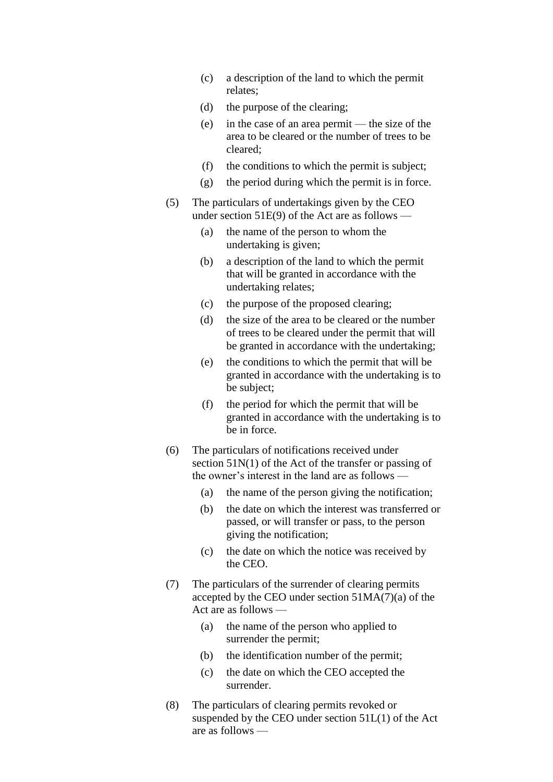- (c) a description of the land to which the permit relates;
- (d) the purpose of the clearing;
- (e) in the case of an area permit the size of the area to be cleared or the number of trees to be cleared;
- (f) the conditions to which the permit is subject;
- (g) the period during which the permit is in force.
- (5) The particulars of undertakings given by the CEO under section  $51E(9)$  of the Act are as follows —
	- (a) the name of the person to whom the undertaking is given;
	- (b) a description of the land to which the permit that will be granted in accordance with the undertaking relates;
	- (c) the purpose of the proposed clearing;
	- (d) the size of the area to be cleared or the number of trees to be cleared under the permit that will be granted in accordance with the undertaking;
	- (e) the conditions to which the permit that will be granted in accordance with the undertaking is to be subject;
	- (f) the period for which the permit that will be granted in accordance with the undertaking is to be in force.
- (6) The particulars of notifications received under section 51N(1) of the Act of the transfer or passing of the owner's interest in the land are as follows —
	- (a) the name of the person giving the notification;
	- (b) the date on which the interest was transferred or passed, or will transfer or pass, to the person giving the notification;
	- (c) the date on which the notice was received by the CEO.
- (7) The particulars of the surrender of clearing permits accepted by the CEO under section  $51MA(7)(a)$  of the Act are as follows —
	- (a) the name of the person who applied to surrender the permit;
	- (b) the identification number of the permit;
	- (c) the date on which the CEO accepted the surrender.
- (8) The particulars of clearing permits revoked or suspended by the CEO under section 51L(1) of the Act are as follows —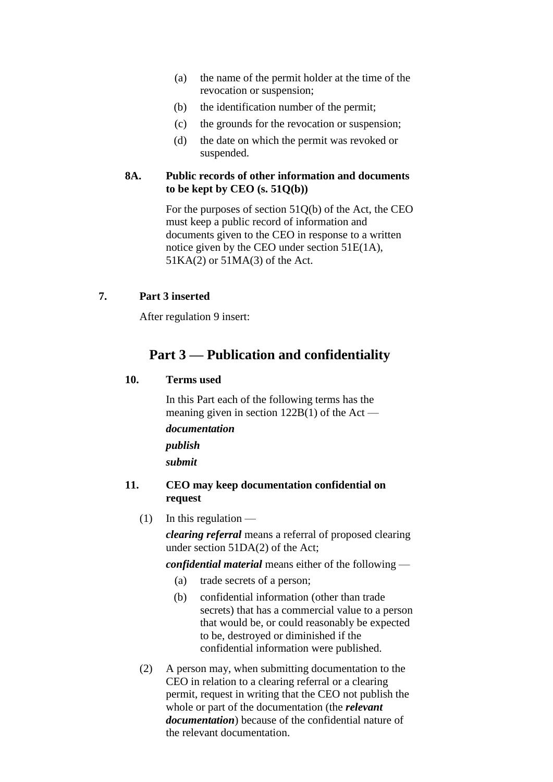- (a) the name of the permit holder at the time of the revocation or suspension;
- (b) the identification number of the permit;
- (c) the grounds for the revocation or suspension;
- (d) the date on which the permit was revoked or suspended.

### **8A. Public records of other information and documents to be kept by CEO (s. 51Q(b))**

For the purposes of section 51Q(b) of the Act, the CEO must keep a public record of information and documents given to the CEO in response to a written notice given by the CEO under section 51E(1A), 51KA(2) or 51MA(3) of the Act.

### **7. Part 3 inserted**

After regulation 9 insert:

## **Part 3 — Publication and confidentiality**

#### **10. Terms used**

In this Part each of the following terms has the meaning given in section  $122B(1)$  of the Act *documentation publish submit*

#### **11. CEO may keep documentation confidential on request**

 $(1)$  In this regulation —

*clearing referral* means a referral of proposed clearing under section 51DA(2) of the Act;

*confidential material* means either of the following —

- (a) trade secrets of a person;
- (b) confidential information (other than trade secrets) that has a commercial value to a person that would be, or could reasonably be expected to be, destroyed or diminished if the confidential information were published.
- (2) A person may, when submitting documentation to the CEO in relation to a clearing referral or a clearing permit, request in writing that the CEO not publish the whole or part of the documentation (the *relevant documentation*) because of the confidential nature of the relevant documentation.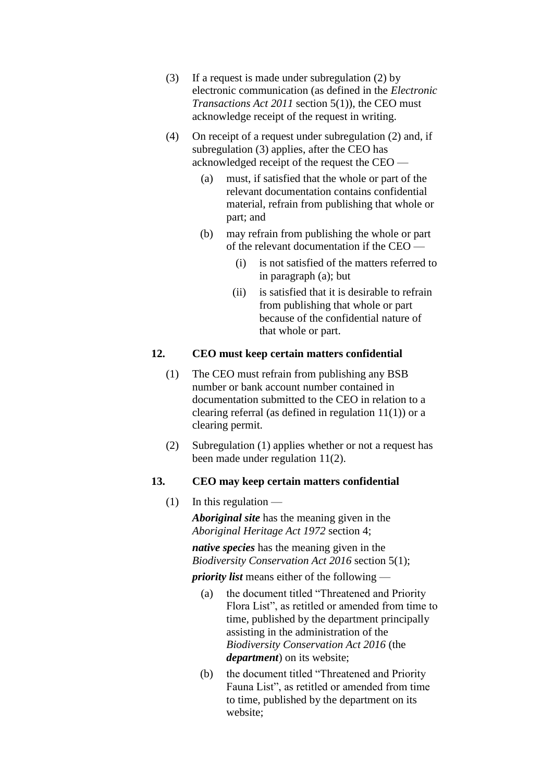- (3) If a request is made under subregulation (2) by electronic communication (as defined in the *Electronic Transactions Act 2011* section 5(1)), the CEO must acknowledge receipt of the request in writing.
- (4) On receipt of a request under subregulation (2) and, if subregulation (3) applies, after the CEO has acknowledged receipt of the request the CEO —
	- (a) must, if satisfied that the whole or part of the relevant documentation contains confidential material, refrain from publishing that whole or part; and
	- (b) may refrain from publishing the whole or part of the relevant documentation if the CEO —
		- (i) is not satisfied of the matters referred to in paragraph (a); but
		- (ii) is satisfied that it is desirable to refrain from publishing that whole or part because of the confidential nature of that whole or part.

### **12. CEO must keep certain matters confidential**

- (1) The CEO must refrain from publishing any BSB number or bank account number contained in documentation submitted to the CEO in relation to a clearing referral (as defined in regulation  $11(1)$ ) or a clearing permit.
- (2) Subregulation (1) applies whether or not a request has been made under regulation 11(2).

#### **13. CEO may keep certain matters confidential**

 $(1)$  In this regulation —

*Aboriginal site* has the meaning given in the *Aboriginal Heritage Act 1972* section 4;

*native species* has the meaning given in the *Biodiversity Conservation Act 2016* section 5(1);

*priority list* means either of the following —

- (a) the document titled "Threatened and Priority Flora List", as retitled or amended from time to time, published by the department principally assisting in the administration of the *Biodiversity Conservation Act 2016* (the *department*) on its website;
- (b) the document titled "Threatened and Priority Fauna List", as retitled or amended from time to time, published by the department on its website;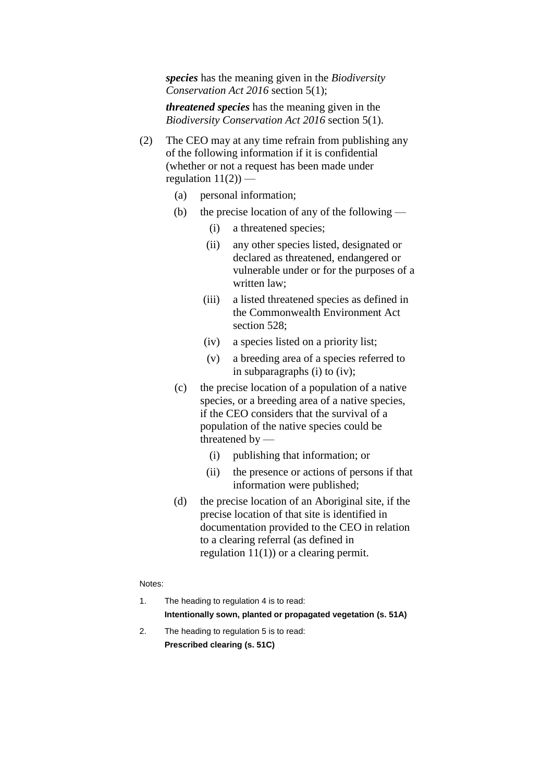*species* has the meaning given in the *Biodiversity Conservation Act 2016* section 5(1);

*threatened species* has the meaning given in the *Biodiversity Conservation Act 2016* section 5(1).

- (2) The CEO may at any time refrain from publishing any of the following information if it is confidential (whether or not a request has been made under regulation  $11(2)$ ) —
	- (a) personal information;
	- (b) the precise location of any of the following
		- (i) a threatened species;
		- (ii) any other species listed, designated or declared as threatened, endangered or vulnerable under or for the purposes of a written law;
		- (iii) a listed threatened species as defined in the Commonwealth Environment Act section 528;
		- (iv) a species listed on a priority list;
		- (v) a breeding area of a species referred to in subparagraphs (i) to (iv);
	- (c) the precise location of a population of a native species, or a breeding area of a native species, if the CEO considers that the survival of a population of the native species could be threatened by —
		- (i) publishing that information; or
		- (ii) the presence or actions of persons if that information were published;
	- (d) the precise location of an Aboriginal site, if the precise location of that site is identified in documentation provided to the CEO in relation to a clearing referral (as defined in regulation 11(1)) or a clearing permit.

#### Notes:

- 1. The heading to regulation 4 is to read: **Intentionally sown, planted or propagated vegetation (s. 51A)**
- 2. The heading to regulation 5 is to read: **Prescribed clearing (s. 51C)**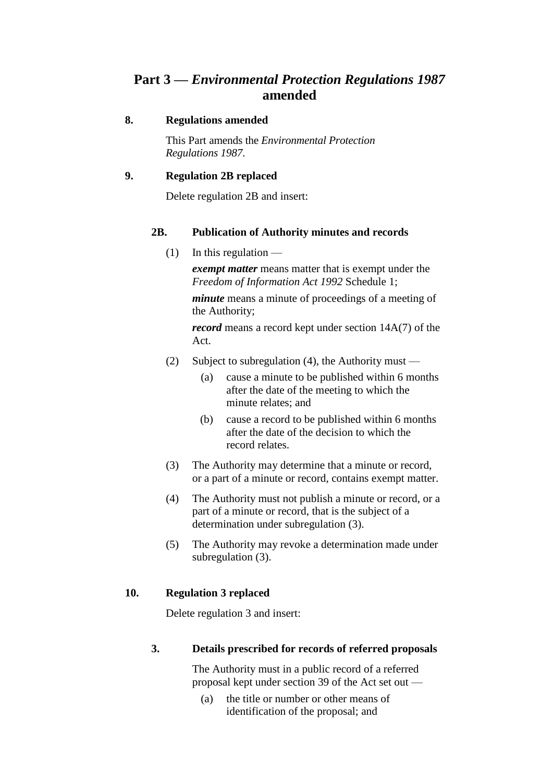## **Part 3 —** *Environmental Protection Regulations 1987* **amended**

#### **8. Regulations amended**

This Part amends the *Environmental Protection Regulations 1987*.

### **9. Regulation 2B replaced**

Delete regulation 2B and insert:

#### **2B. Publication of Authority minutes and records**

 $(1)$  In this regulation —

*exempt matter* means matter that is exempt under the *Freedom of Information Act 1992* Schedule 1;

*minute* means a minute of proceedings of a meeting of the Authority;

*record* means a record kept under section 14A(7) of the Act.

- (2) Subject to subregulation (4), the Authority must
	- (a) cause a minute to be published within 6 months after the date of the meeting to which the minute relates; and
	- (b) cause a record to be published within 6 months after the date of the decision to which the record relates.
- (3) The Authority may determine that a minute or record, or a part of a minute or record, contains exempt matter.
- (4) The Authority must not publish a minute or record, or a part of a minute or record, that is the subject of a determination under subregulation (3).
- (5) The Authority may revoke a determination made under subregulation (3).

#### **10. Regulation 3 replaced**

Delete regulation 3 and insert:

#### **3. Details prescribed for records of referred proposals**

The Authority must in a public record of a referred proposal kept under section 39 of the Act set out —

(a) the title or number or other means of identification of the proposal; and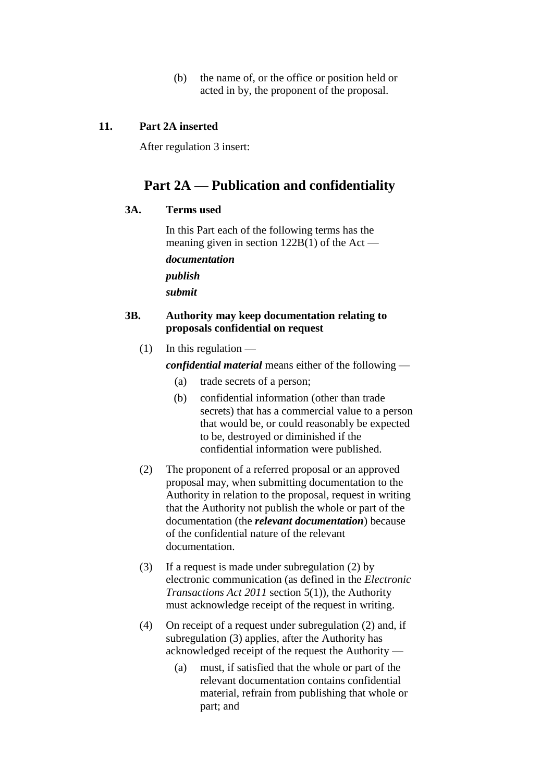(b) the name of, or the office or position held or acted in by, the proponent of the proposal.

### **11. Part 2A inserted**

After regulation 3 insert:

## **Part 2A — Publication and confidentiality**

#### **3A. Terms used**

In this Part each of the following terms has the meaning given in section 122B(1) of the Act —

*documentation publish submit*

### **3B. Authority may keep documentation relating to proposals confidential on request**

 $(1)$  In this regulation —

*confidential material* means either of the following —

- (a) trade secrets of a person;
- (b) confidential information (other than trade secrets) that has a commercial value to a person that would be, or could reasonably be expected to be, destroyed or diminished if the confidential information were published.
- (2) The proponent of a referred proposal or an approved proposal may, when submitting documentation to the Authority in relation to the proposal, request in writing that the Authority not publish the whole or part of the documentation (the *relevant documentation*) because of the confidential nature of the relevant documentation.
- (3) If a request is made under subregulation (2) by electronic communication (as defined in the *Electronic Transactions Act 2011* section 5(1)), the Authority must acknowledge receipt of the request in writing.
- (4) On receipt of a request under subregulation (2) and, if subregulation (3) applies, after the Authority has acknowledged receipt of the request the Authority —
	- (a) must, if satisfied that the whole or part of the relevant documentation contains confidential material, refrain from publishing that whole or part; and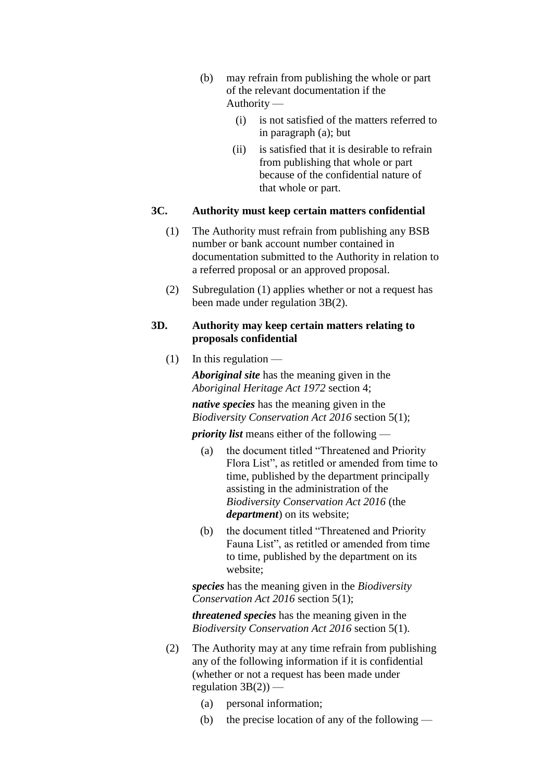- (b) may refrain from publishing the whole or part of the relevant documentation if the Authority —
	- (i) is not satisfied of the matters referred to in paragraph (a); but
	- (ii) is satisfied that it is desirable to refrain from publishing that whole or part because of the confidential nature of that whole or part.

#### **3C. Authority must keep certain matters confidential**

- (1) The Authority must refrain from publishing any BSB number or bank account number contained in documentation submitted to the Authority in relation to a referred proposal or an approved proposal.
- (2) Subregulation (1) applies whether or not a request has been made under regulation 3B(2).

#### **3D. Authority may keep certain matters relating to proposals confidential**

 $(1)$  In this regulation —

*Aboriginal site* has the meaning given in the *Aboriginal Heritage Act 1972* section 4;

*native species* has the meaning given in the *Biodiversity Conservation Act 2016* section 5(1);

*priority list* means either of the following —

- (a) the document titled "Threatened and Priority Flora List", as retitled or amended from time to time, published by the department principally assisting in the administration of the *Biodiversity Conservation Act 2016* (the *department*) on its website;
- (b) the document titled "Threatened and Priority Fauna List", as retitled or amended from time to time, published by the department on its website;

*species* has the meaning given in the *Biodiversity Conservation Act 2016* section 5(1);

*threatened species* has the meaning given in the *Biodiversity Conservation Act 2016* section 5(1).

- (2) The Authority may at any time refrain from publishing any of the following information if it is confidential (whether or not a request has been made under regulation  $3B(2)$ ) –
	- (a) personal information;
	- (b) the precise location of any of the following —